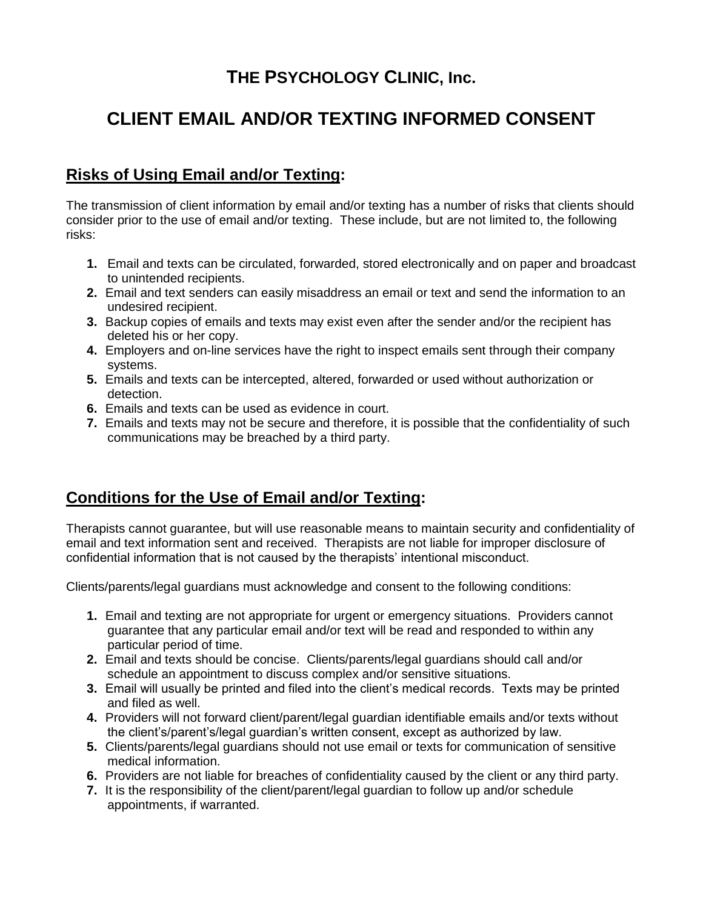## **THE PSYCHOLOGY CLINIC, Inc.**

# **CLIENT EMAIL AND/OR TEXTING INFORMED CONSENT**

### **Risks of Using Email and/or Texting:**

The transmission of client information by email and/or texting has a number of risks that clients should consider prior to the use of email and/or texting. These include, but are not limited to, the following risks:

- **1.** Email and texts can be circulated, forwarded, stored electronically and on paper and broadcast to unintended recipients.
- **2.** Email and text senders can easily misaddress an email or text and send the information to an undesired recipient.
- **3.** Backup copies of emails and texts may exist even after the sender and/or the recipient has deleted his or her copy.
- **4.** Employers and on-line services have the right to inspect emails sent through their company systems.
- **5.** Emails and texts can be intercepted, altered, forwarded or used without authorization or detection.
- **6.** Emails and texts can be used as evidence in court.
- **7.** Emails and texts may not be secure and therefore, it is possible that the confidentiality of such communications may be breached by a third party.

### **Conditions for the Use of Email and/or Texting:**

Therapists cannot guarantee, but will use reasonable means to maintain security and confidentiality of email and text information sent and received. Therapists are not liable for improper disclosure of confidential information that is not caused by the therapists' intentional misconduct.

Clients/parents/legal guardians must acknowledge and consent to the following conditions:

- **1.** Email and texting are not appropriate for urgent or emergency situations. Providers cannot guarantee that any particular email and/or text will be read and responded to within any particular period of time.
- **2.** Email and texts should be concise. Clients/parents/legal guardians should call and/or schedule an appointment to discuss complex and/or sensitive situations.
- **3.** Email will usually be printed and filed into the client's medical records. Texts may be printed and filed as well.
- **4.** Providers will not forward client/parent/legal guardian identifiable emails and/or texts without the client's/parent's/legal guardian's written consent, except as authorized by law.
- **5.** Clients/parents/legal guardians should not use email or texts for communication of sensitive medical information.
- **6.** Providers are not liable for breaches of confidentiality caused by the client or any third party.
- **7.** It is the responsibility of the client/parent/legal guardian to follow up and/or schedule appointments, if warranted.